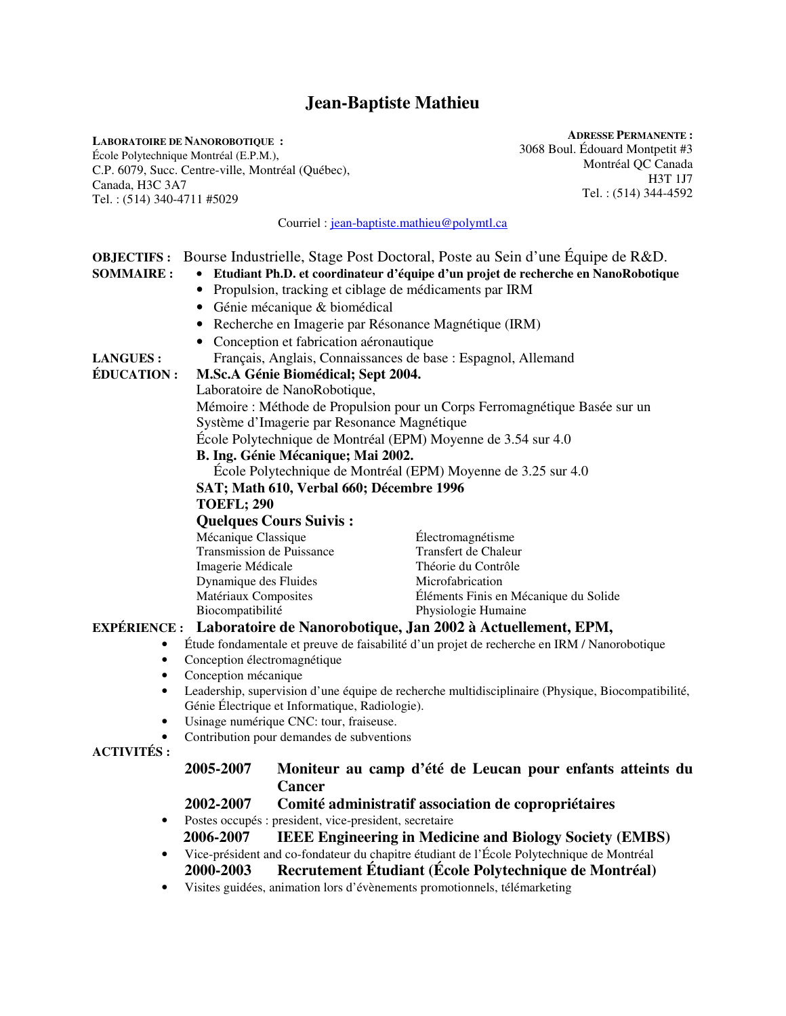# **Jean-Baptiste Mathieu**

**LABORATOIRE DE NANOROBOTIQUE :**  École Polytechnique Montréal (E.P.M.), C.P. 6079, Succ. Centre-ville, Montréal (Québec), Canada, H3C 3A7 Tel. : (514) 340-4711 #5029

**ADRESSE PERMANENTE :**  3068 Boul. Édouard Montpetit #3 Montréal QC Canada H3T 1J7 Tel. : (514) 344-4592

Courriel : jean-baptiste.mathieu@polymtl.ca

|                                                                                                          | <b>OBJECTIFS:</b> Bourse Industrielle, Stage Post Doctoral, Poste au Sein d'une Équipe de R&D.                 |                           |                                                                           |  |
|----------------------------------------------------------------------------------------------------------|----------------------------------------------------------------------------------------------------------------|---------------------------|---------------------------------------------------------------------------|--|
| <b>SOMMAIRE:</b>                                                                                         | Etudiant Ph.D. et coordinateur d'équipe d'un projet de recherche en NanoRobotique                              |                           |                                                                           |  |
|                                                                                                          | Propulsion, tracking et ciblage de médicaments par IRM<br>$\bullet$                                            |                           |                                                                           |  |
|                                                                                                          | • Génie mécanique & biomédical                                                                                 |                           |                                                                           |  |
|                                                                                                          | • Recherche en Imagerie par Résonance Magnétique (IRM)                                                         |                           |                                                                           |  |
|                                                                                                          |                                                                                                                |                           |                                                                           |  |
| <b>LANGUES:</b>                                                                                          | • Conception et fabrication aéronautique<br>Français, Anglais, Connaissances de base : Espagnol, Allemand      |                           |                                                                           |  |
|                                                                                                          | M.Sc.A Génie Biomédical; Sept 2004.                                                                            |                           |                                                                           |  |
| <b>ÉDUCATION:</b>                                                                                        |                                                                                                                |                           |                                                                           |  |
|                                                                                                          | Laboratoire de NanoRobotique,<br>Mémoire : Méthode de Propulsion pour un Corps Ferromagnétique Basée sur un    |                           |                                                                           |  |
|                                                                                                          |                                                                                                                |                           |                                                                           |  |
|                                                                                                          | Système d'Imagerie par Resonance Magnétique                                                                    |                           |                                                                           |  |
| École Polytechnique de Montréal (EPM) Moyenne de 3.54 sur 4.0<br>B. Ing. Génie Mécanique; Mai 2002.      |                                                                                                                |                           |                                                                           |  |
|                                                                                                          |                                                                                                                |                           |                                                                           |  |
|                                                                                                          |                                                                                                                |                           |                                                                           |  |
|                                                                                                          | <b>TOEFL; 290</b>                                                                                              |                           |                                                                           |  |
|                                                                                                          | <b>Quelques Cours Suivis:</b>                                                                                  |                           |                                                                           |  |
|                                                                                                          | Mécanique Classique                                                                                            |                           | Électromagnétisme                                                         |  |
|                                                                                                          |                                                                                                                | Transmission de Puissance | Transfert de Chaleur                                                      |  |
|                                                                                                          | Imagerie Médicale                                                                                              |                           | Théorie du Contrôle                                                       |  |
|                                                                                                          | Dynamique des Fluides                                                                                          |                           | Microfabrication                                                          |  |
|                                                                                                          | Matériaux Composites<br>Biocompatibilité                                                                       |                           | Éléments Finis en Mécanique du Solide<br>Physiologie Humaine              |  |
|                                                                                                          |                                                                                                                |                           |                                                                           |  |
|                                                                                                          |                                                                                                                |                           | EXPÉRIENCE : Laboratoire de Nanorobotique, Jan 2002 à Actuellement, EPM,  |  |
| Étude fondamentale et preuve de faisabilité d'un projet de recherche en IRM / Nanorobotique<br>$\bullet$ |                                                                                                                |                           |                                                                           |  |
| ٠<br>$\bullet$                                                                                           | Conception électromagnétique<br>Conception mécanique                                                           |                           |                                                                           |  |
|                                                                                                          | Leadership, supervision d'une équipe de recherche multidisciplinaire (Physique, Biocompatibilité,<br>$\bullet$ |                           |                                                                           |  |
|                                                                                                          | Génie Électrique et Informatique, Radiologie).<br>Usinage numérique CNC: tour, fraiseuse.<br>$\bullet$         |                           |                                                                           |  |
|                                                                                                          |                                                                                                                |                           |                                                                           |  |
|                                                                                                          | Contribution pour demandes de subventions                                                                      |                           |                                                                           |  |
| <b>ACTIVITÉS:</b>                                                                                        |                                                                                                                |                           |                                                                           |  |
|                                                                                                          | 2005-2007                                                                                                      |                           | Moniteur au camp d'été de Leucan pour enfants atteints du                 |  |
|                                                                                                          |                                                                                                                | <b>Cancer</b>             |                                                                           |  |
|                                                                                                          |                                                                                                                |                           |                                                                           |  |
|                                                                                                          | 2002-2007<br>Comité administratif association de copropriétaires                                               |                           |                                                                           |  |
| $\bullet$                                                                                                | Postes occupés : president, vice-president, secretaire                                                         |                           |                                                                           |  |
|                                                                                                          | 2006-2007<br><b>IEEE Engineering in Medicine and Biology Society (EMBS)</b>                                    |                           |                                                                           |  |
| $\bullet$                                                                                                | Vice-président and co-fondateur du chapitre étudiant de l'École Polytechnique de Montréal                      |                           |                                                                           |  |
|                                                                                                          | 2000-2003                                                                                                      |                           | Recrutement Étudiant (École Polytechnique de Montréal)                    |  |
|                                                                                                          |                                                                                                                |                           | Visites guidées, animation lors d'évènements promotionnels, télémarketing |  |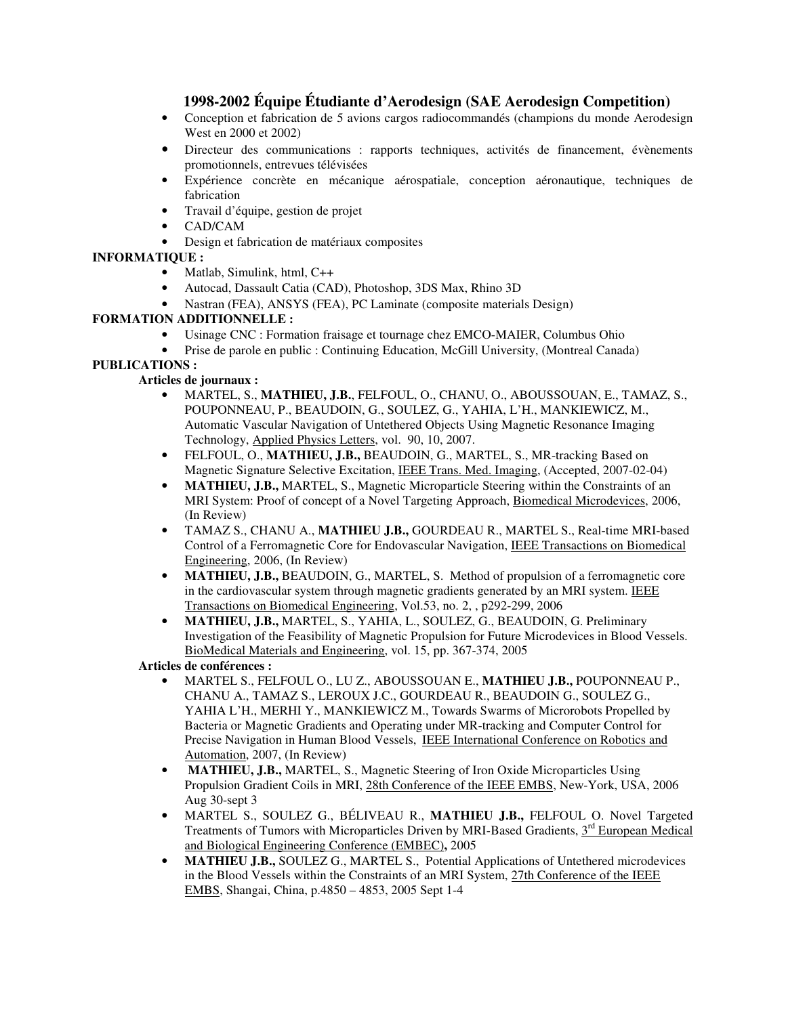# **1998-2002 Équipe Étudiante d'Aerodesign (SAE Aerodesign Competition)**

- Conception et fabrication de 5 avions cargos radiocommandés (champions du monde Aerodesign West en 2000 et 2002)
- Directeur des communications : rapports techniques, activités de financement, évènements promotionnels, entrevues télévisées
- Expérience concrète en mécanique aérospatiale, conception aéronautique, techniques de fabrication
- Travail d'équipe, gestion de projet
- CAD/CAM
- Design et fabrication de matériaux composites

### **INFORMATIQUE :**

- Matlab, Simulink, html, C++
- Autocad, Dassault Catia (CAD), Photoshop, 3DS Max, Rhino 3D
- Nastran (FEA), ANSYS (FEA), PC Laminate (composite materials Design)

#### **FORMATION ADDITIONNELLE :**

- Usinage CNC : Formation fraisage et tournage chez EMCO-MAIER, Columbus Ohio
- Prise de parole en public : Continuing Education, McGill University, (Montreal Canada)

### **PUBLICATIONS :**

### **Articles de journaux :**

- MARTEL, S., **MATHIEU, J.B.**, FELFOUL, O., CHANU, O., ABOUSSOUAN, E., TAMAZ, S., POUPONNEAU, P., BEAUDOIN, G., SOULEZ, G., YAHIA, L'H., MANKIEWICZ, M., Automatic Vascular Navigation of Untethered Objects Using Magnetic Resonance Imaging Technology, Applied Physics Letters, vol. 90, 10, 2007.
- FELFOUL, O., **MATHIEU, J.B.,** BEAUDOIN, G., MARTEL, S., MR-tracking Based on Magnetic Signature Selective Excitation, IEEE Trans. Med. Imaging, (Accepted, 2007-02-04)
- **MATHIEU, J.B., MARTEL, S., Magnetic Microparticle Steering within the Constraints of an** MRI System: Proof of concept of a Novel Targeting Approach, Biomedical Microdevices, 2006, (In Review)
- TAMAZ S., CHANU A., **MATHIEU J.B.,** GOURDEAU R., MARTEL S., Real-time MRI-based Control of a Ferromagnetic Core for Endovascular Navigation, IEEE Transactions on Biomedical Engineering, 2006, (In Review)
- **MATHIEU, J.B.,** BEAUDOIN, G., MARTEL, S. Method of propulsion of a ferromagnetic core in the cardiovascular system through magnetic gradients generated by an MRI system. IEEE Transactions on Biomedical Engineering, Vol.53, no. 2, , p292-299, 2006
- **MATHIEU, J.B.,** MARTEL, S., YAHIA, L., SOULEZ, G., BEAUDOIN, G. Preliminary Investigation of the Feasibility of Magnetic Propulsion for Future Microdevices in Blood Vessels. BioMedical Materials and Engineering, vol. 15, pp. 367-374, 2005

#### **Articles de conférences :**

- MARTEL S., FELFOUL O., LU Z., ABOUSSOUAN E., **MATHIEU J.B.,** POUPONNEAU P., CHANU A., TAMAZ S., LEROUX J.C., GOURDEAU R., BEAUDOIN G., SOULEZ G., YAHIA L'H., MERHI Y., MANKIEWICZ M., Towards Swarms of Microrobots Propelled by Bacteria or Magnetic Gradients and Operating under MR-tracking and Computer Control for Precise Navigation in Human Blood Vessels, IEEE International Conference on Robotics and Automation, 2007, (In Review)
- **MATHIEU, J.B., MARTEL, S., Magnetic Steering of Iron Oxide Microparticles Using** Propulsion Gradient Coils in MRI, 28th Conference of the IEEE EMBS, New-York, USA, 2006 Aug 30-sept 3
- MARTEL S., SOULEZ G., BÉLIVEAU R., **MATHIEU J.B.,** FELFOUL O. Novel Targeted Treatments of Tumors with Microparticles Driven by MRI-Based Gradients,  $3<sup>rd</sup>$  European Medical and Biological Engineering Conference (EMBEC)**,** 2005
- **MATHIEU J.B.,** SOULEZ G., MARTEL S., Potential Applications of Untethered microdevices in the Blood Vessels within the Constraints of an MRI System, 27th Conference of the IEEE EMBS, Shangai, China, p.4850 – 4853, 2005 Sept 1-4